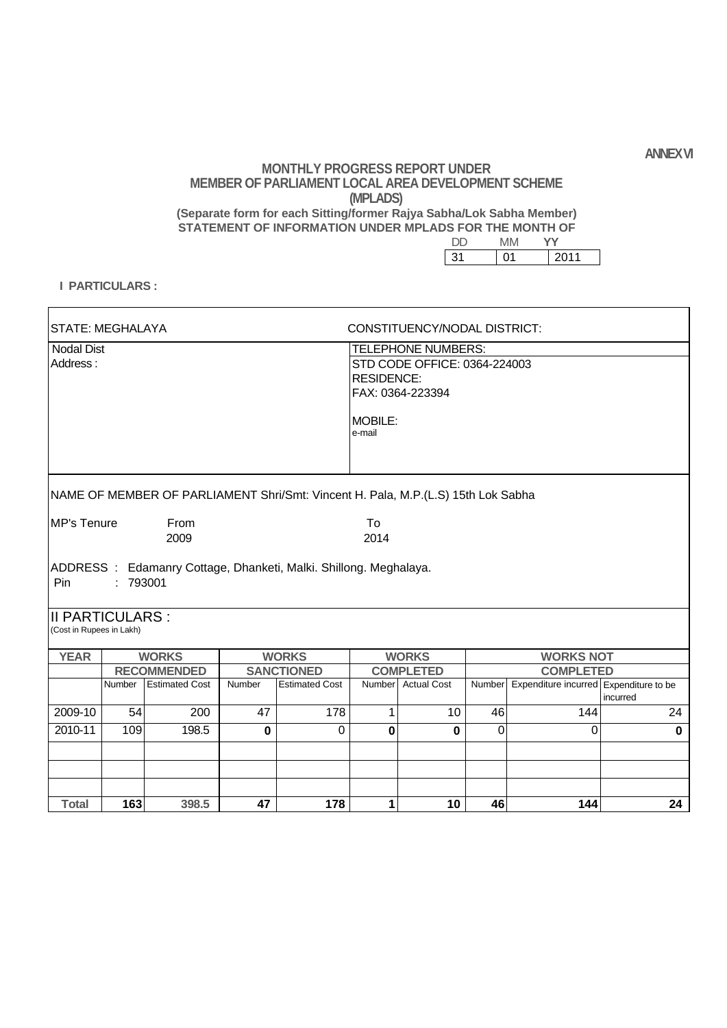**ANNEX VI**

### **MONTHLY PROGRESS REPORT UNDER MEMBER OF PARLIAMENT LOCAL AREA DEVELOPMENT SCHEME (MPLADS) (Separate form for each Sitting/former Rajya Sabha/Lok Sabha Member) STATEMENT OF INFORMATION UNDER MPLADS FOR THE MONTH OF**

| 31 | ١1 | 2011 |
|----|----|------|

#### **I PARTICULARS :**

 $\mathsf{r}$ 

| <b>STATE: MEGHALAYA</b>                            |          |                                                                                  |             |                       | CONSTITUENCY/NODAL DISTRICT: |                                                                                                        |        |                                        |             |
|----------------------------------------------------|----------|----------------------------------------------------------------------------------|-------------|-----------------------|------------------------------|--------------------------------------------------------------------------------------------------------|--------|----------------------------------------|-------------|
| <b>Nodal Dist</b><br>Address:                      |          |                                                                                  |             |                       |                              | TELEPHONE NUMBERS:<br>STD CODE OFFICE: 0364-224003<br><b>RESIDENCE:</b><br>FAX: 0364-223394<br>MOBILE: |        |                                        |             |
|                                                    |          | NAME OF MEMBER OF PARLIAMENT Shri/Smt: Vincent H. Pala, M.P.(L.S) 15th Lok Sabha |             |                       |                              |                                                                                                        |        |                                        |             |
| MP's Tenure                                        |          | From<br>2009                                                                     |             |                       | To<br>2014                   |                                                                                                        |        |                                        |             |
| Pin                                                | : 793001 | ADDRESS: Edamanry Cottage, Dhanketi, Malki. Shillong. Meghalaya.                 |             |                       |                              |                                                                                                        |        |                                        |             |
| <b>II PARTICULARS:</b><br>(Cost in Rupees in Lakh) |          |                                                                                  |             |                       |                              |                                                                                                        |        |                                        |             |
| <b>YEAR</b>                                        |          | <b>WORKS</b>                                                                     |             | <b>WORKS</b>          |                              | <b>WORKS</b>                                                                                           |        | <b>WORKS NOT</b>                       |             |
|                                                    |          | <b>RECOMMENDED</b>                                                               |             | <b>SANCTIONED</b>     |                              | <b>COMPLETED</b>                                                                                       |        | <b>COMPLETED</b>                       |             |
|                                                    | Number   | <b>Estimated Cost</b>                                                            | Number      | <b>Estimated Cost</b> | Number                       | <b>Actual Cost</b>                                                                                     | Number | Expenditure incurred Expenditure to be | incurred    |
| 2009-10                                            | 54       | 200                                                                              | 47          | 178                   | $\mathbf{1}$                 | 10                                                                                                     | 46     | 144                                    | 24          |
| 2010-11                                            | 109      | 198.5                                                                            | $\mathbf 0$ | $\overline{0}$        | $\mathbf 0$                  | $\bf{0}$                                                                                               | 0      | $\mathbf 0$                            | $\mathbf 0$ |
|                                                    |          |                                                                                  |             |                       |                              |                                                                                                        |        |                                        |             |
| <b>Total</b>                                       | 163      | 398.5                                                                            | 47          | 178                   | $\mathbf 1$                  | 10                                                                                                     | 46     | 144                                    | 24          |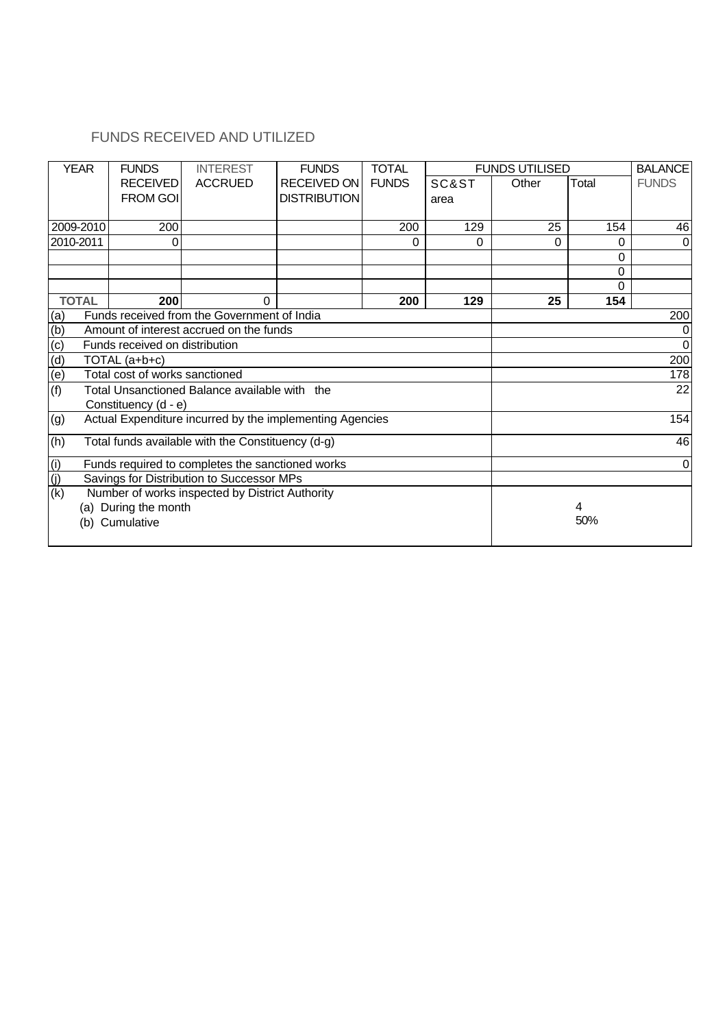### FUNDS RECEIVED AND UTILIZED

| <b>YEAR</b>       | <b>FUNDS</b>                                                                 | <b>INTEREST</b>                                          | <b>FUNDS</b>        | <b>TOTAL</b> |       | <b>FUNDS UTILISED</b> |          | <b>BALANCE</b> |  |  |
|-------------------|------------------------------------------------------------------------------|----------------------------------------------------------|---------------------|--------------|-------|-----------------------|----------|----------------|--|--|
|                   | <b>RECEIVED</b>                                                              | <b>ACCRUED</b>                                           | <b>RECEIVED ON</b>  | <b>FUNDS</b> | SC&ST | Other                 | Total    | <b>FUNDS</b>   |  |  |
|                   | <b>FROM GOI</b>                                                              |                                                          | <b>DISTRIBUTION</b> |              | area  |                       |          |                |  |  |
|                   |                                                                              |                                                          |                     |              |       |                       |          |                |  |  |
| 2009-2010         | 200                                                                          |                                                          |                     | 200          | 129   | 25                    | 154      | 46             |  |  |
| 2010-2011         | 0                                                                            |                                                          |                     | 0            | 0     | 0                     | 0        | $\Omega$       |  |  |
|                   |                                                                              |                                                          |                     |              |       |                       | 0        |                |  |  |
|                   |                                                                              |                                                          |                     |              |       |                       | 0        |                |  |  |
|                   |                                                                              |                                                          |                     |              |       |                       | $\Omega$ |                |  |  |
| <b>TOTAL</b>      | 200                                                                          | $\Omega$                                                 |                     | 200          | 129   | 25                    | 154      |                |  |  |
| (a)               |                                                                              | Funds received from the Government of India              |                     |              |       |                       |          | 200            |  |  |
| (b)               |                                                                              | Amount of interest accrued on the funds                  |                     |              |       |                       |          | 0              |  |  |
| (c)               | Funds received on distribution                                               |                                                          |                     |              |       |                       |          | $\mathbf 0$    |  |  |
| (d)               | TOTAL (a+b+c)                                                                |                                                          |                     |              |       |                       |          | 200            |  |  |
| $\overline{e}$    | Total cost of works sanctioned                                               |                                                          |                     |              |       |                       |          | 178            |  |  |
| (f)               |                                                                              | Total Unsanctioned Balance available with the            |                     |              |       |                       |          | 22             |  |  |
|                   | Constituency (d - e)                                                         |                                                          |                     |              |       |                       |          |                |  |  |
| (g)               |                                                                              | Actual Expenditure incurred by the implementing Agencies |                     |              |       |                       |          | 154            |  |  |
|                   |                                                                              |                                                          |                     |              |       |                       |          |                |  |  |
| (h)               |                                                                              | Total funds available with the Constituency (d-g)        |                     |              |       |                       |          | 46             |  |  |
|                   | Funds required to completes the sanctioned works<br>$\mathbf 0$              |                                                          |                     |              |       |                       |          |                |  |  |
| $\frac{(i)}{(j)}$ |                                                                              | Savings for Distribution to Successor MPs                |                     |              |       |                       |          |                |  |  |
| (k)               |                                                                              |                                                          |                     |              |       |                       |          |                |  |  |
|                   | Number of works inspected by District Authority<br>(a) During the month<br>4 |                                                          |                     |              |       |                       |          |                |  |  |
| (b)               | Cumulative                                                                   |                                                          |                     |              |       |                       | 50%      |                |  |  |
|                   |                                                                              |                                                          |                     |              |       |                       |          |                |  |  |
|                   |                                                                              |                                                          |                     |              |       |                       |          |                |  |  |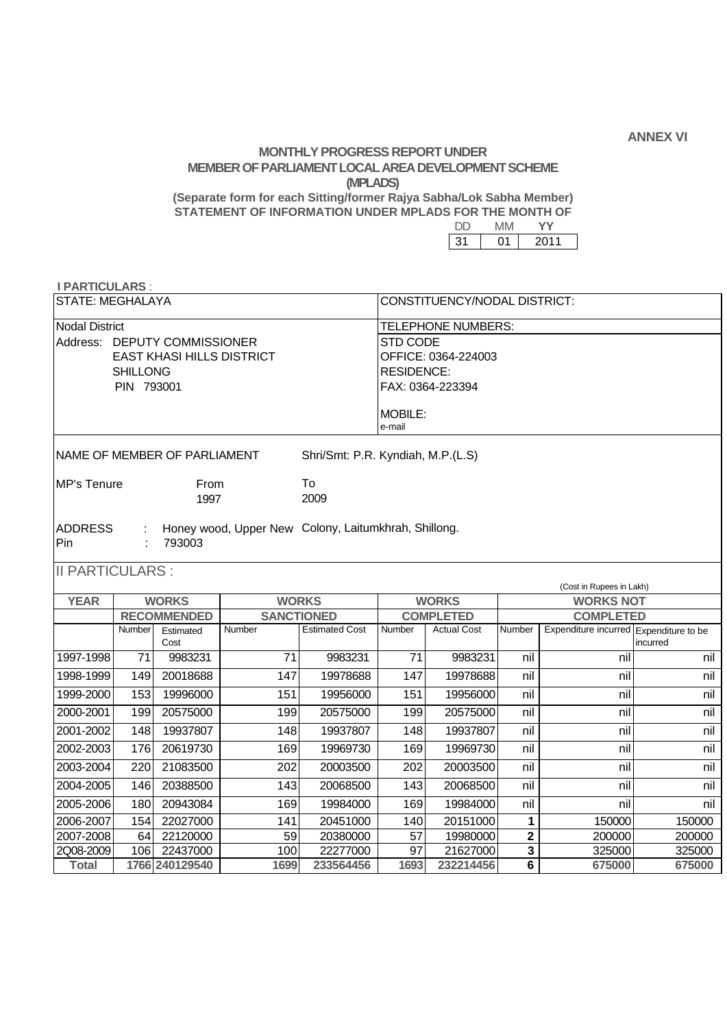**ANNEX VI** 

### **MONTHLY PROGRESS REPORT UNDER MEMBER OF PARLIAMENT LOCAL AREA DEVELOPMENT SCHEME (MPLADS)**

 **(Separate form for each Sitting/former Rajya Sabha/Lok Sabha Member) STATEMENT OF INFORMATION UNDER MPLADS FOR THE MONTH OF** 

| -2. | 2011 |
|-----|------|

# **I PARTICULARS** :

| $\blacksquare$          |                              |
|-------------------------|------------------------------|
| <b>STATE: MEGHALAYA</b> | CONSTITUENCY/NODAL DISTRICT: |

| Nodal District |                                  | TELEPHONE NUMBERS:  |
|----------------|----------------------------------|---------------------|
|                | Address: DEPUTY COMMISSIONER     | ISTD CODE           |
|                | <b>EAST KHASI HILLS DISTRICT</b> | OFFICE: 0364-224003 |
|                | <b>SHILLONG</b>                  | RESIDENCE:          |
|                | PIN 793001                       | FAX: 0364-223394    |
|                |                                  |                     |
|                |                                  | <b>IMOBILE:</b>     |
|                |                                  | e-mail              |
|                |                                  |                     |

| NAME OF MEMBER OF PARLIAMENT | Shri/Smt: P.R. Kyndiah, M.P.(L.S) |
|------------------------------|-----------------------------------|
|                              |                                   |

| MP's Tenure | <b>From</b> | To   |
|-------------|-------------|------|
|             | 1997        | 2009 |
|             |             |      |

| <b>ADDRESS</b><br>Pin    | : 793003 | : Honey wood, Upper New Colony, Laitumkhrah, Shillong. |
|--------------------------|----------|--------------------------------------------------------|
| $II$ PARTICULARS $\cdot$ |          |                                                        |

II PARTICULARS :

|             | (Cost in Rupees in Lakh) |                    |              |                       |        |                    |        |                                        |          |  |  |
|-------------|--------------------------|--------------------|--------------|-----------------------|--------|--------------------|--------|----------------------------------------|----------|--|--|
| <b>YEAR</b> | <b>WORKS</b>             |                    | <b>WORKS</b> |                       |        | <b>WORKS</b>       |        | <b>WORKS NOT</b>                       |          |  |  |
|             |                          | <b>RECOMMENDED</b> |              | <b>SANCTIONED</b>     |        | <b>COMPLETED</b>   |        | <b>COMPLETED</b>                       |          |  |  |
|             | Number                   | Estimated<br>Cost  | Number       | <b>Estimated Cost</b> | Number | <b>Actual Cost</b> | Number | Expenditure incurred Expenditure to be | incurred |  |  |
| 1997-1998   | 71                       | 9983231            | 71           | 9983231               | 71     | 9983231            | nil    | nil                                    | nil      |  |  |
| 1998-1999   | 149                      | 20018688           | 147          | 19978688              | 147    | 19978688           | nil    | nil                                    | nil      |  |  |
| 1999-2000   | 153                      | 19996000           | 151          | 19956000              | 151    | 19956000           | nil    | nil                                    | nil      |  |  |
| 2000-2001   | 199                      | 20575000           | 199          | 20575000              | 199    | 20575000           | nil    | nil                                    | nil      |  |  |
| 2001-2002   | 148                      | 19937807           | 148          | 19937807              | 148    | 19937807           | nil    | nil                                    | nil      |  |  |
| 2002-2003   | 176                      | 20619730           | 169          | 19969730              | 169    | 19969730           | nil    | nil                                    | nil      |  |  |
| 2003-2004   | 220                      | 21083500           | 202          | 20003500              | 202    | 20003500           | nil    | nil                                    | nil      |  |  |
| 2004-2005   | 146                      | 20388500           | 143          | 20068500              | 143    | 20068500           | nil    | nil                                    | nil      |  |  |
| 2005-2006   | 180                      | 20943084           | 169          | 19984000              | 169    | 19984000           | nil    | nil                                    | nil      |  |  |
| 2006-2007   | 154                      | 22027000           | 141          | 20451000              | 140    | 20151000           | 4      | 150000                                 | 150000   |  |  |
| 2007-2008   | 64                       | 22120000           | 59           | 20380000              | 57     | 19980000           | 2      | 200000                                 | 200000   |  |  |
| 2Q08-2009   | 106                      | 22437000           | 100          | 22277000              | 97     | 21627000           | 3      | 325000                                 | 325000   |  |  |
| Total       |                          | 1766 240129540     | 1699         | 233564456             | 1693   | 232214456          | 6      | 675000                                 | 675000   |  |  |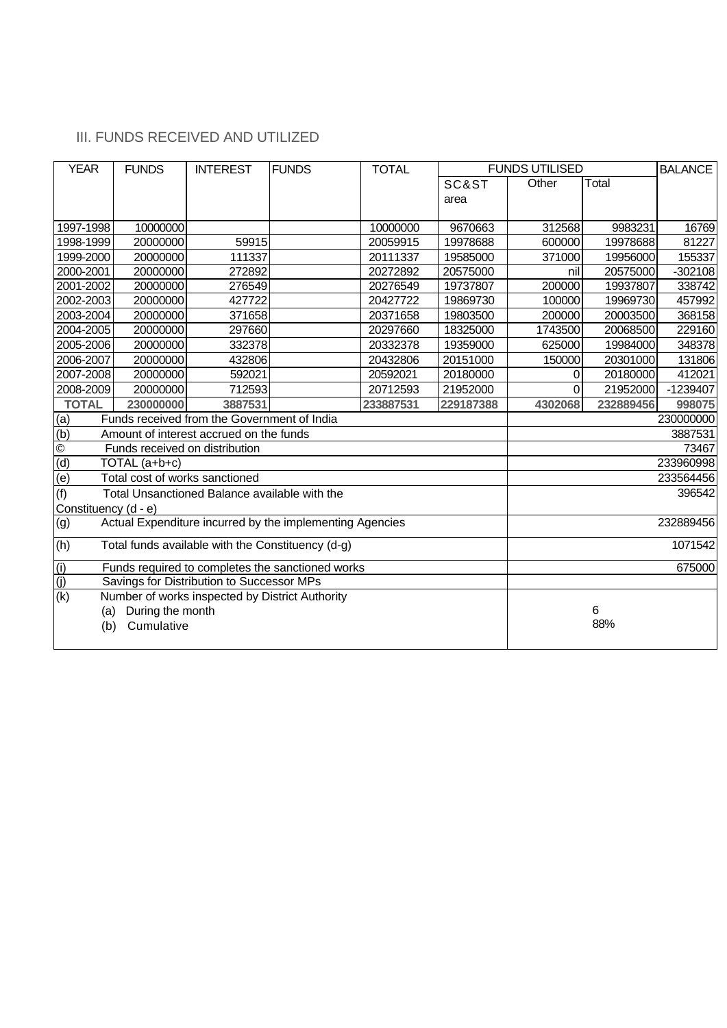### III. FUNDS RECEIVED AND UTILIZED

| <b>YEAR</b>               | <b>FUNDS</b>                   | <b>INTEREST</b>                                   | <b>FUNDS</b>                                             | <b>TOTAL</b> |           | <b>FUNDS UTILISED</b> | <b>BALANCE</b> |           |
|---------------------------|--------------------------------|---------------------------------------------------|----------------------------------------------------------|--------------|-----------|-----------------------|----------------|-----------|
|                           |                                |                                                   |                                                          |              | SC&ST     | Other                 | Total          |           |
|                           |                                |                                                   |                                                          |              | area      |                       |                |           |
|                           |                                |                                                   |                                                          |              |           |                       |                |           |
| 1997-1998                 | 10000000                       |                                                   |                                                          | 10000000     | 9670663   | 312568                | 9983231        | 16769     |
| 1998-1999                 | 20000000                       | 59915                                             |                                                          | 20059915     | 19978688  | 600000                | 19978688       | 81227     |
| 1999-2000                 | 20000000                       | 111337                                            |                                                          | 20111337     | 19585000  | 371000                | 19956000       | 155337    |
| 2000-2001                 | 20000000                       | 272892                                            |                                                          | 20272892     | 20575000  | nil                   | 20575000       | $-302108$ |
| 2001-2002                 | 20000000                       | 276549                                            |                                                          | 20276549     | 19737807  | 200000                | 19937807       | 338742    |
| 2002-2003                 | 20000000                       | 427722                                            |                                                          | 20427722     | 19869730  | 100000                | 19969730       | 457992    |
| 2003-2004                 | 20000000                       | 371658                                            |                                                          | 20371658     | 19803500  | 200000                | 20003500       | 368158    |
| 2004-2005                 | 20000000                       | 297660                                            |                                                          | 20297660     | 18325000  | 1743500               | 20068500       | 229160    |
| 2005-2006                 | 20000000                       | 332378                                            |                                                          | 20332378     | 19359000  | 625000                | 19984000       | 348378    |
| 2006-2007                 | 20000000                       | 432806                                            |                                                          | 20432806     | 20151000  | 150000                | 20301000       | 131806    |
| 2007-2008                 | 20000000                       | 592021                                            |                                                          | 20592021     | 20180000  | 0                     | 20180000       | 412021    |
| 2008-2009                 | 20000000                       | 712593                                            |                                                          | 20712593     | 21952000  | $\Omega$              | 21952000       | -1239407  |
| <b>TOTAL</b>              | 230000000                      | 3887531                                           |                                                          | 233887531    | 229187388 | 4302068               | 232889456      | 998075    |
| (a)                       |                                | Funds received from the Government of India       |                                                          |              |           |                       |                | 230000000 |
| (b)                       |                                | Amount of interest accrued on the funds           |                                                          |              |           |                       |                | 3887531   |
| $\overline{\circ}$        |                                | Funds received on distribution                    |                                                          |              |           |                       |                | 73467     |
| (d)                       | TOTAL (a+b+c)                  |                                                   |                                                          |              |           |                       |                | 233960998 |
| $\overline{e}$            | Total cost of works sanctioned |                                                   |                                                          |              |           |                       |                | 233564456 |
| (f)                       |                                | Total Unsanctioned Balance available with the     |                                                          |              |           |                       |                | 396542    |
| Constituency (d - e)      |                                |                                                   |                                                          |              |           |                       |                |           |
| (g)                       |                                |                                                   | Actual Expenditure incurred by the implementing Agencies |              |           |                       |                | 232889456 |
| (h)                       |                                | Total funds available with the Constituency (d-g) |                                                          |              |           |                       |                | 1071542   |
| (i)                       |                                |                                                   | Funds required to completes the sanctioned works         |              |           |                       |                | 675000    |
| (j)                       |                                | Savings for Distribution to Successor MPs         |                                                          |              |           |                       |                |           |
| $\overline{(\mathsf{k})}$ |                                | Number of works inspected by District Authority   |                                                          |              |           |                       |                |           |
| (a)                       | During the month               |                                                   |                                                          |              |           |                       | 6              |           |
| (b)                       | Cumulative                     |                                                   |                                                          |              |           |                       | 88%            |           |
|                           |                                |                                                   |                                                          |              |           |                       |                |           |